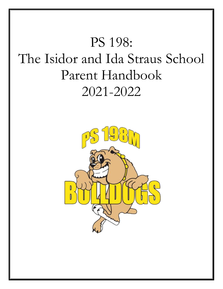# PS 198: The Isidor and Ida Straus School Parent Handbook 2021-2022

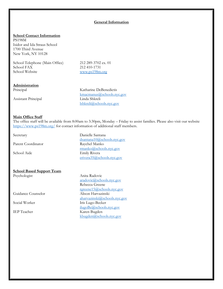## **General Information**

#### **School Contact Information**

PS198M Isidor and Ida Straus School 1700 Third Avenue New York, NY 10128

School Telephone (Main Office) 212 289-3702 ex. 01<br>School FAX 212 410-1731 School Website [www.ps198m.org](http://www.ps198m.org/)

212 410-1731

#### **Administration**

Assistant Principal Linda Shkreli

Principal Katharine DeBenedictis [kmacmanus@schools.nyc.gov](mailto:kmacmanus@schools.nyc.gov) [lshkreli@schools.nyc.gov](mailto:lshkreli@schools.nyc.gov)

#### **Main Office Staff**

The office staff will be available from 8:00am to 3:30pm, Monday – Friday to assist families. Please also visit our website <https://www.ps198m.org/> for contact information of additional staff members.

# **School Based Support Team**

Guidance Counselor

Secretary Danielle Santana [dsantana10@schools.nyc.gov](mailto:dsantana10@schools.nyc.gov) Parent Coordinator Raychel Manko [rmanko@schools.nyc.gov](mailto:rmanko@schools.nyc.gov) School Aide Emily Rivera [erivera35@schools.nyc.gov](mailto:erivera35@schools.nyc.gov)

Psychologist Anita Radovic [aradovic@schools.nyc.gov](mailto:aradovic@schools.nyc.gov) Rebecca Greene [rgreene15@schools.nyc.gov](mailto:rgreene15@schools.nyc.gov)<br>Alison Harvazinski [aharvazinski@schools.nyc.gov](mailto:aharvazinski@schools.nyc.gov) Social Worker Iris Lugo-Becker [ilugoBe@schools.nyc.gov](mailto:ilugoBe@schools.nyc.gov) IEP Teacher Karen Bugden [kbugden@schools.nyc.gov](mailto:kbugden@schools.nyc.gov)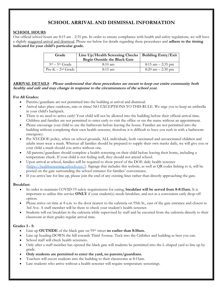# **SCHOOL ARRIVAL AND DISMISSAL INFORMATION**

# **SCHOOL HOURS**

Our official school hours are 8:15 am - 2:35 pm. In order to ensure compliance with health and safety regulations, we will have a slightly staggered arrival and dismissal. Please see below for details regarding these procedures and **adhere to the timing indicated for your child's particular grade.**

| Grade                | Line Up/Health Screening Checks   Building Entry/Exit<br>Begin Outside the Black Gate |                                     |
|----------------------|---------------------------------------------------------------------------------------|-------------------------------------|
| $3rd - 5th$ Grade    | $8:10 \text{ am}$                                                                     | $8:15$ am $-2:35$ pm                |
| $Pre-K-2^{nd}$ Grade | $8:15$ am                                                                             | $8:20 \text{ am} - 2:30 \text{ pm}$ |

# **ARRIVAL DETAILS** - **Please understand that these procedures are meant to keep our entire community both healthy and safe and may change in response to the circumstances of the school year.**

# **For All Grades:**

- Parents/guardians are not permitted into the building at arrival and dismissal.
- Arrival takes place outdoors, rain or shine! NO EXCEPTIONS TO THIS RULE. We urge you to keep an umbrella in your child's backpack.
- There is no need to arrive early! Your child will not be allowed into the building before their official arrival time. Children and families are not permitted to enter early to visit the office or see the nurse without an appointment.
- Please encourage your child to use the bathroom before leaving the house. Families are not permitted into the building without completing their own health screener, therefore it is difficult to have you rush in with a bathroom emergency.
- Per NYCDOE policy, when on school grounds, ALL individuals, both vaccinated and unvaccinated children and adults must wear a mask. Whereas all families should be prepared to supply their own masks daily, we will give you or your child a mask should you arrive without one.
- All parents/guardians should complete a health screening on their child before leaving their home, including a temperature check. If your child is not feeling well, they should not attend school.
- Upon arrival at school, families will be required to show proof of the DOE daily health screener [\(https://healthscreening.schools.nyc/\)](https://nam10.safelinks.protection.outlook.com/?url=https%3A%2F%2Fhealthscreening.schools.nyc%2F&data=04%7C01%7CRManko%40schools.nyc.gov%7C73ea3809d80040167c1308d963e8ec12%7C18492cb7ef45456185710c42e5f7ac07%7C0%7C0%7C637650674345848009%7CUnknown%7CTWFpbGZsb3d8eyJWIjoiMC4wLjAwMDAiLCJQIjoiV2luMzIiLCJBTiI6Ik1haWwiLCJXVCI6Mn0%3D%7C1000&sdata=ukLgJYu0OzjKU6PP8WhCRXXe2qY5bE5Ky2o9CGl%2Bakg%3D&reserved=0). Signage that includes this website, as well as QR codes linking to it, will be posted on the gate surrounding the school entrance for families' convenience.
- If you arrive late for line up, please join the end of any existing lines rather than directly approaching the gate.

# **Breakfast:**

- In order to maintain COVID-19 safety requirements for eating, **breakfast will be served from 8-8:15am.** It is important to utilize this service **ONLY** if your student(s) needs breakfast, and not as a convenient early drop-off option.
- Please arrive on time at 8 a.m. to the door nearest to the cafeteria on 95th St., east of the gate entrance and closest to 3rd Ave. A staff member will be there to check your student's health screener.
- Students will eat breakfast in the cafeteria while supervised by staff and be escorted from the cafeteria directly to their classroom at their grades regular arrival time.

# **Grades 3 - 5:**

- Line up **OUTSIDE** of the black gate on 95th street **no earlier than 8:10am.**
- Line up heading DOWN the hill towards Third Avenue. Tuck into the Citibikes and building as best you can.
- School staff will check health screeners.
- Only after a staff member has opened the black gate will students be permitted into the L-shaped yard to line up by grade.
- **Only students are permitted to enter the yard, no parents/guardians.**
- Teachers will escort students into the building to their classrooms at 8:15am.
- Late students who arrive without a health screener will require temperature screenings.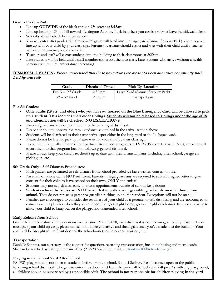# **Grades Pre-K – 2nd:**

- Line up **OUTSIDE** of the black gate on 95<sup>th</sup> street **at 8:15am**.
- Line up heading UP the hill towards Lexington Avenue. Tuck in as best you can in order to leave the sidewalk clear.
- School staff will check health screeners.
- You will enter after grades 3-5. Pre-K  $2<sup>nd</sup>$  grade will head into the large yard (Samuel Seabury Park) where you will line up with your child by your class sign. Parents/guardians should escort and wait with their child until a teacher arrives, then you may leave your child.
- Teachers and staff will escort students into the building to their classrooms at 8:20am.
- Late students will be held until a staff member can escort them to class. Late students who arrive without a health screener will require temperature screenings.

# **DISMISSAL DETAILS - Please understand that these procedures are meant to keep our entire community both healthy and safe.**

| Grade                | <b>Dismissal Time</b> | Pick-Up Location                 |
|----------------------|-----------------------|----------------------------------|
| $Pre-K-2^{nd}$ Grade | $2:30 \text{ pm}$     | Large Yard (Samuel Seabury Park) |
| $3rd - 5th$ Grade    | $2:35$ pm             | L-shaped yard                    |

# **For All Grades:**

- **Only adults (18 yrs. and older) who you have authorized on the Blue Emergency Card will be allowed to pick up a student. This includes their older siblings. Students will not be released to siblings under the age of 18 and identification will be checked. NO EXCEPTIONS.**
- Parents/guardians are not permitted into the building at dismissal.
- Please continue to observe the mask guidance as outlined in the arrival section above.
- Students will be dismissed to their same arrival spot either in the large yard or the L-shaped yard.
- Please do not be late for pick up. Please wait for your child by their class sign.
- If your child is enrolled in one of our partner after school programs at PS198 (Beacon, Chess, KING), a teacher will escort them to that program location following general dismissal.
- Please always keep your child's teacher(s) up to date with their dismissal plans, including after school, caregivers picking up, etc.

# **5th Grade Only - Self-Dismiss Procedures:**

- Fifth graders are permitted to self-dismiss from school provided we have written consent on file.
- An email or phone call is NOT sufficient. Parents or legal guardians are required to submit a signed letter to give consent for their child to leave school on their own, ONLY at dismissal.
- Students may not self-dismiss early to attend appointments outside of school, i.e. a doctor.
- **Students who self-dismiss are NOT permitted to walk a younger sibling or family member home from**  school. They do not replace a parent or guardian picking up another student. Exceptions will not be made.
- Families are encouraged to consider the readiness of your child as it pertains to self-dismissing and are encouraged to come up with a plan for when they leave school (i.e. go straight home, go to a neighbor's home). It is not advisable to allow your child to hang out on the playground unattended after school.

# **Early Release from School**

Given the limited nature of in person instruction since March 2020, early dismissal is not encouraged for any reason. If you must pick your child up early, please call school before you arrive and then again once you've made it to the building. Your child will be brought to the front door of the school—not to the corner, your car, etc.

#### **Transportation**

Danielle Santana, our secretary, is the contact for questions regarding transportation, including busing and metro cards. She can be reached by calling the main office (212-289-3702) or email, at  $d$ s  $d$ s  $d$ s  $d$  $s$  $d$  $s$  $d$  $s$  $d$  $s$  $d$  $s$  $d$  $s$  $d$  $s$  $d$  $s$  $d$  $s$  $d$  $s$  $d$  $s$  $d$  $s$  $d$  $s$  $d$  $s$  $d$  $s$  $d$  $s$  $d$  $s$  $d$  $s$  $d$  $s$  $d$  $s$  $d$  $s$  $d$  $s$ 

#### **Playing in the School Yard After School**

PS 198's playground is not open to students before or after school. Samuel Seabury Park becomes open to the public following school dismissal. The gate to enter the school yard from the park will be locked at 2:40pm. As with any playground, all children should be supervised by a responsible adult. **The school is not responsible for children playing in the yard**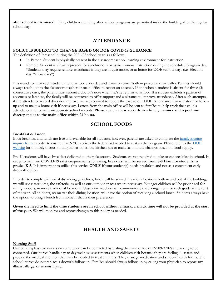**after school is dismissed.** Only children attending after school programs are permitted inside the building after the regular school day.

# **ATTENDANCE**

# **POLICY IS SUBJECT TO CHANGE BASED ON DOE COVID-19 GUIDANCE**

The definition of "present" during the 2021-22 school year is as follows:

- In Person: Student is physically present in the classroom/school learning environment for instruction
- Remote: Student is virtually present for synchronous or asynchronous instruction during the scheduled program day. \*Students may require remote attendance if they are in quarantine, or at home for DOE remote days (i.e. Election day, "snow days")

It is mandated that each student attend school every day and arrive on time (both in person and virtually). Parents should always reach out to the classroom teacher or main office to report an absence. If and when a student is absent for three (3) consecutive days, the parent must submit a doctor's note when he/she returns to school. If a student exhibits a pattern of absences or lateness, the family will be contacted to offer support and assistance to improve attendance. After such attempts, if the attendance record does not improve, we are required to report the case to our DOE Attendance Coordinator, for follow up and to make a home visit if necessary. Letters from the main office will be sent to families to help track their child's attendance and to maintain accurate school records. **Please review these records in a timely manner and report any discrepancies to the main office within 24 hours.**

# **SCHOOL FOODS**

#### **Breakfast & Lunch**

Both breakfast and lunch are free and available for all students, however, parents are asked to complete the [family income](https://www.myschoolapps.com/Home/PickDistrict)  [inquiry form](https://www.myschoolapps.com/Home/PickDistrict) in order to ensure that NYC receives the federal aid needed to sustain the program. Please refer to the [DOE](https://www.schools.nyc.gov/school-life/food/school-meals)  [website](https://www.schools.nyc.gov/school-life/food/school-meals) for monthly menus, noting that at times, the kitchen has to make last minute changes based on food supply.

Pre-K students will have breakfast delivered to their classroom. Students are not required to take or eat breakfast in school. In order to maintain COVID-19 safety requirements for eating, **breakfast will be served from 8-8:15am for students in grades K-5.** It is important to utilize this service **ONLY** if your student(s) needs breakfast, and not as a convenient early drop-off option.

In order to comply with social distancing guidelines, lunch will be served in various locations both in and out of the building; we will use classrooms, the cafeteria, as well as our outdoor spaces where necessary. Younger children will be prioritized for eating indoors, in more traditional locations. Classroom teachers will communicate the arrangement for each grade at the start of the year. All students, no matter their dining location, will have the option of receiving a school lunch. Students always have the option to bring a lunch from home if that is their preference.

**Given the need to limit the time students are in school without a mask, a snack time will not be provided at the start of the year.** We will monitor and report changes to this policy as needed.

# **HEALTH AND SAFETY**

#### **Nursing Staff**

Our building has two nurses on staff. They can be contacted by dialing the main office (212-289-3702) and asking to be connected. Our nurses handle day to day wellness assessments when children visit because they are feeling ill, assess and provide the medical attention that may be needed to treat an injury. They manage medication and student health forms. The school nurses do not replace a doctor's follow up. Families should always follow up by calling your physician to report any illness, allergy, or serious injury.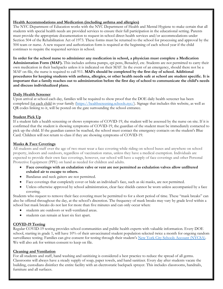# **Health Accommodations and Medication (including asthma and allergies)**

The NYC Department of Education works with the NYC Department of Health and Mental Hygiene to make certain that all students with special health needs are provided services to ensure their full participation in the educational setting. Parents must provide the appropriate documentation to request in-school direct health services and/or accommodations under Section 504 of the Rehabilitation Act of 1973. These forms must be returned to the school for processing and approval by the 504 team or nurse. A new request and authorization form is required at the beginning of each school year if the child continues to require the requested services in school.

**In order for the school nurse to administer any medication in school, a physician must complete a Medication Administration Form (MAF).** This includes asthma pumps, epi pens, Benadryl, etc. Students are not permitted to carry their own medication in their backpacks unless it is indicated on their MAF. In the event of an emergency, should there not be a MAF on file, the nurse is required to call 911. **MAFs should be completed by the first day of school. Additional procedures for keeping students with asthma, allergies, or other health needs safe at school are student specific. It is important that a family reaches out to administration before the first day of school to communicate the child's needs and discuss individualized plans.**

## **Daily Health Screener**

Upon arrival at school each day, families will be required to show proof that the DOE daily health screener has been completed for each child in your family [\(https://healthscreening.schools.nyc/\)](https://nam10.safelinks.protection.outlook.com/?url=https%3A%2F%2Fhealthscreening.schools.nyc%2F&data=04%7C01%7CRManko%40schools.nyc.gov%7C73ea3809d80040167c1308d963e8ec12%7C18492cb7ef45456185710c42e5f7ac07%7C0%7C0%7C637650674345848009%7CUnknown%7CTWFpbGZsb3d8eyJWIjoiMC4wLjAwMDAiLCJQIjoiV2luMzIiLCJBTiI6Ik1haWwiLCJXVCI6Mn0%3D%7C1000&sdata=ukLgJYu0OzjKU6PP8WhCRXXe2qY5bE5Ky2o9CGl%2Bakg%3D&reserved=0). Signage that includes this website, as well as QR codes linking to it, will be posted on the gate surrounding the school entrance.

## **Student Pick Up**

If a student fails a health screening or shows symptoms of COVID-19, the student will be assessed by the nurse on site. If it is confirmed that the student is showing symptoms of COVID-19, the guardian of the student must be immediately contacted to pick up the child. If the guardian cannot be reached, the school must contact the emergency contacts on the student's Blue Card. Children will not return to class if they are showing symptoms of COVID-19.

## **Masks & Face Coverings**

All students and staff over the age of two must wear a face covering while riding on school buses and anywhere on school property, indoors and outdoors, regardless of vaccination status, unless they have a medical exemption. Individuals are expected to provide their own face coverings, however, our school will have a supply of face coverings and other Personal Protective Equipment (PPE) on hand as needed for children and adults.

- **Face coverings with an exhalation valve or vent are not permitted as exhalation valves allow unfiltered exhaled air to escape to others.**
- Bandanas and neck gaiters are not permitted.
- Face coverings that completely cover or hide an individual's face, such as ski masks, are not permitted.
- Unless otherwise approved by school administration, clear face shields cannot be worn unless accompanied by a face covering.

Students who request to remove their face covering must be permitted to for a short period of time. These "mask breaks" can also be offered throughout the day, at the school's discretion. The frequency of mask breaks may vary by grade level within a school but mask breaks do not last for more than five minutes and can only occur when:

- students are outdoors or well-ventilated areas.
- students can remain at least six feet apart.

# **COVID-19 Testing**

Regular COVID-19 testing provides school communities and public health experts with valuable information. Every DOE school, starting in grade 1, will have 10% of their unvaccinated student population selected twice a month for ongoing random surveillance testing. Families can give consent for testing through their student's [New York City Schools Account \(NYCSA\).](https://mystudent.nyc/) We will also ask for written consent to keep on file.

#### **Cleaning and Ventilation**

For all students and staff, hand washing and sanitizing is considered a best practice to reduce the spread of all germs. Classrooms will always have a steady supply of soap, paper towels, and hand sanitizer. Every day after students vacate the building, custodians disinfect the entire facility with an electrostatic backpack sprayer. This includes classrooms, handrails, furniture and all surfaces.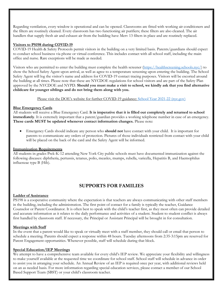Regarding ventilation, every window is operational and can be opened. Classrooms are fitted with working air conditioners and the filters are routinely cleaned. Every classroom has two functioning air purifiers; these filters are also cleaned. The air handlers that supply fresh air and exhaust air from the building have Merv 13 filters in place and are routinely replaced.

## **Visitors to PS198 during COVID-19**

COVID-19 Health & Safety Protocols permit visitors in the building on a very limited basis. Parents/guardians should expect to conduct school business via phone or virtual conference. This includes contact with all school staff, including the main office and nurse. Rare exceptions will be made as needed.

Visitors who are permitted to enter the building must complete the health screener [\(https://healthscreening.schools.nyc/\)](https://nam10.safelinks.protection.outlook.com/?url=https%3A%2F%2Fhealthscreening.schools.nyc%2F&data=04%7C01%7CRManko%40schools.nyc.gov%7C73ea3809d80040167c1308d963e8ec12%7C18492cb7ef45456185710c42e5f7ac07%7C0%7C0%7C637650674345848009%7CUnknown%7CTWFpbGZsb3d8eyJWIjoiMC4wLjAwMDAiLCJQIjoiV2luMzIiLCJBTiI6Ik1haWwiLCJXVCI6Mn0%3D%7C1000&sdata=ukLgJYu0OzjKU6PP8WhCRXXe2qY5bE5Ky2o9CGl%2Bakg%3D&reserved=0) to show the School Safety Agent upon arrival, as well as agree to a temperature screening upon entering the building. The School Safety Agent will log the visitor's name and address for COVID-19 contact tracing purposes. Visitors will be escorted around the building at all times. Please note that these are NYCDOE regulations for school visitors and are part of the Safety Plan approved by the NYCDOE and NYPD. **Should you must make a visit to school, we kindly ask that you find alternative childcare for younger siblings and do not bring them along with you.**

Please visit the DOE's website for further COVID-19 guidance: [School Year 2021-22 \(nyc.gov\)](https://www.schools.nyc.gov/school-year/school-year-2021-22)

#### **Blue Emergency Cards**

All students will receive a Blue Emergency Card. **It is imperative that it is filled out completely and returned to school immediately**. It is extremely important that a parent/guardian provides a working telephone number in case of an emergency. **These cards MUST be updated whenever contact information changes.** Please note:

 Emergency Cards should indicate any person who **should not** have contact with your child. It is important for parents to communicate any orders of protection. Pictures of those individuals restricted from contact with your child will be placed on the back of the card and the Safety Agent will be informed.

#### **Immunization Requirements**

All students in grades Prek-K-12 attending New York City public schools must have documented immunization against the following diseases: diphtheria, pertussis, tetanus, polio, measles, mumps, rubella, varicella, Hepatitis B, and Haemophilus influenzae type B (Hib).

# **SUPPORTS FOR FAMILIES**

#### **Ladder of Assistance**

PS198 is a cooperative community where the expectation is that teachers are always communicating with other staff members in the building, including the administration. The first point of contact for a family is typically the teacher, Guidance Counselor or Parent Coordinator. It is often best to speak with the child's teacher first, as they most often can provide detailed and accurate information as it relates to the daily performance and activities of a student. Student to student conflict is always first handled by classroom staff. If necessary, the Principal or Assistant Principal will be brought in for consultation.

#### **Meetings with Staff**

In the event that a parent would like to speak or virtually meet with a staff member, they should call or email that person to schedule a meeting. Parents should expect a response within 48 hours. Tuesday afternoons from 2:35-3:15pm are reserved for Parent Engagement opportunities. Whenever possible, staff will schedule during that block.

#### **Special Education/IEP Meetings**

We attempt to have a comprehensive team available for every child's IEP review. We appreciate your flexibility and willingness to make yourself available at the requested time we coordinate for school staff. School staff will schedule in advance in order to assist you in arranging your schedule. An Annual Review of an IEP is required once per year, with additional reviews held on an as needed basis. For more information regarding special education services, please contact a member of our School Based Support Team (SBST) or your child's classroom teacher.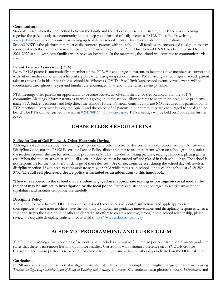## **Communication**

Students thrive when the connection between the family and the school is present and strong. Our PTA works to bring together the parent body as a community and to keep you informed of daily events at PS198. The school's website, [www.ps198m.org](http://www.ps198m.org/) is one resource for staying up to date on school events. Our school-wide communication system, SchoolCNXT is the platform that most easily connects parents with the school. All families are encouraged to sign up to stay connected with their child's classroom teacher, the main office, and the PTA. Once School CNXT has been updated for the 2021-2022 school year, new families will receive an invitation. In the meantime, the school will continue to communicate via email.

# **Parent Teacher Association (PTA)**

Every PS198 parent is automatically a member of the PTA. We encourage all parents to become active members as connecting with other families can often be a helpful support when navigating school matters. PS198 strongly encourages that each parent take an active role in his or her child's school life. Whereas COVID-19 will limit large school events, virtual events will be coordinated throughout the year and families are encouraged to attend to the fullest extent possible.

PTA meetings offer parents an opportunity to become actively involved in their child's education and in the PS198 community. Meetings inform parents as to what is going on in the school, allow parents to share their ideas, solve problems, make PTA budget decisions, and help direct the school's future. Financial contributions are NOT required for participation in PTA meetings. Every vote is weighted equally and the voices of all parents in our community are encouraged to speak and be heard. The PTA can be reached by email at  $02M198P\mathcal{A@}$ schools.nyc.gov. PTA meetings will be held on Zoom until further notice.

# **CHANCELLOR'S REGULATIONS**

## **Policy for Use of Cell Phones & Other Electronic Devices**

Although not advisable, students can bring cell phones and other electronic devices to school, however neither the Citywide Discipline Code, nor the PS198 Electronic Device Policy allows students to use these items when on school grounds, unless the teacher requests the use for educational purposes only. This includes no taking pictures, reading E-Books, playing games, etc**.** When the student arrives at school all electronic devices must be turned off and placed in their school bag. The school is not responsible for the loss, theft, or damage of these devices. Use of electronic devices during the school day will result in disciplinary action. If you need to communicate with your child while they are in school, kindly call the school at (212) 289-3702. **The full cell phone and device policy is included as an addendum to this handbook.**

**When it is reported to the school that a student engaged in inappropriate texting or postings on social media, the incident may be subject to investigation by the local police.** Parents are strongly encouraged to restrict smart phone capabilities and monitor cell phone use carefully.

# **Discipline Policy**

The school follows the NYCDOE Citywide Behavioral Expectations to identify infractions and apply appropriate consequences. Please note teachers have the authority to implement guidance interventions and disciplinary responses when a student disrupts the instruction of other students. In an effort to create a positive, strong, home-school relationship, please review the citywide discipline code with your child [\(https://www.schools.nyc.gov/\)](https://www.schools.nyc.gov/).

# **ACADEMIC PROGRAMMING AND CURRICULUM**

The DOE is planning a full reopening of schools, which includes a return to full time, in person instruction. Current guidance states that there is no remote learning option for families. Classrooms will maintain a presence on NYCDOE Google Classroom and Zoom platforms to account for remote learning on snow days or other days indicated on the DOE calendar.

## **Curriculum**

PS198 uses a variety of curricula that is aligned with state standards. Teachers implement English Language Arts lessons using *Teachers College/Lucy Calkins Units of Study in Reading and Writing.* In grades K-2 students learn phonics through *FUNdations* and